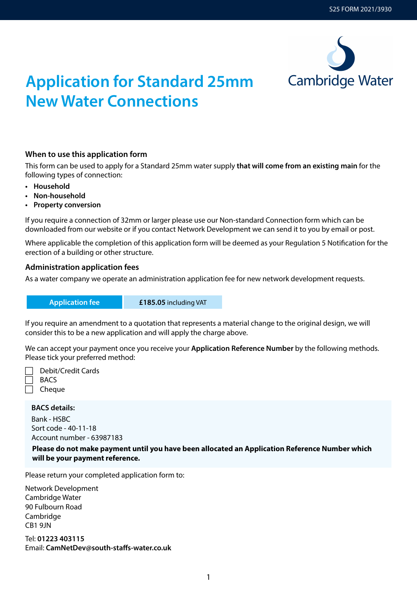

# **Application for Standard 25mm New Water Connections**

#### **When to use this application form**

This form can be used to apply for a Standard 25mm water supply **that will come from an existing main** for the following types of connection:

- **• Household**
- **• Non-household**
- **• Property conversion**

If you require a connection of 32mm or larger please use our Non-standard Connection form which can be downloaded from our website or if you contact Network Development we can send it to you by email or post.

Where applicable the completion of this application form will be deemed as your Regulation 5 Notification for the erection of a building or other structure.

#### **Administration application fees**

As a water company we operate an administration application fee for new network development requests.

**Application fee £185.05** including VAT

If you require an amendment to a quotation that represents a material change to the original design, we will consider this to be a new application and will apply the charge above.

We can accept your payment once you receive your **Application Reference Number** by the following methods. Please tick your preferred method:

 Debit/Credit Cards **BACS** 

**Cheque** 

#### **BACS details:**

Bank - HSBC Sort code - 40-11-18 Account number - 63987183

**Please do not make payment until you have been allocated an Application Reference Number which will be your payment reference.**

Please return your completed application form to:

Network Development Cambridge Water 90 Fulbourn Road Cambridge CB1 9JN

Tel: **01223 403115** Email: **[CamNetDev@south-staffs-water.co.uk](Mailto:CamNetDev@south-staffs-water.co.uk)**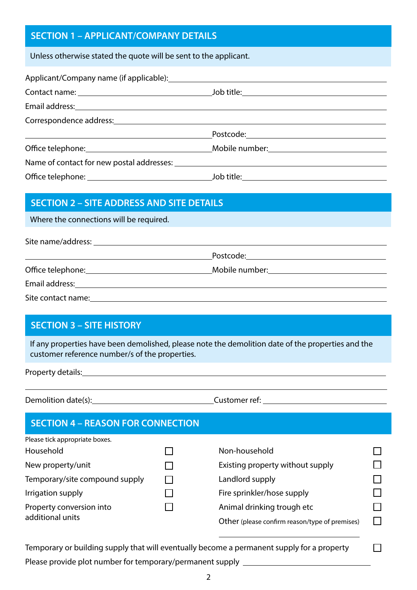### **SECTION 1 – APPLICANT/COMPANY DETAILS**

Unless otherwise stated the quote will be sent to the applicant.

| Applicant/Company name (if applicable): Notified that the set of the set of the set of the set of the set of the set of the set of the set of the set of the set of the set of the set of the set of the set of the set of the |                                           |  |
|--------------------------------------------------------------------------------------------------------------------------------------------------------------------------------------------------------------------------------|-------------------------------------------|--|
|                                                                                                                                                                                                                                |                                           |  |
|                                                                                                                                                                                                                                |                                           |  |
|                                                                                                                                                                                                                                |                                           |  |
|                                                                                                                                                                                                                                |                                           |  |
|                                                                                                                                                                                                                                |                                           |  |
|                                                                                                                                                                                                                                |                                           |  |
|                                                                                                                                                                                                                                | <u> Job title: ___ __________________</u> |  |

#### **SECTION 2 – SITE ADDRESS AND SITE DETAILS**

Where the connections will be required.

Site name/address:

Office telephone: Mobile number:

Email address:

Site contact name:

#### **SECTION 3 – SITE HISTORY**

If any properties have been demolished, please note the demolition date of the properties and the customer reference number/s of the properties.

Property details:

 $\overline{a}$ 

Demolition date(s): Customer ref: Customer ref:

Postcode:

П

| <b>SECTION 4 - REASON FOR CONNECTION</b> |                                                |  |
|------------------------------------------|------------------------------------------------|--|
| Please tick appropriate boxes.           |                                                |  |
| Household                                | Non-household                                  |  |
| New property/unit                        | Existing property without supply               |  |
| Temporary/site compound supply           | Landlord supply                                |  |
| Irrigation supply                        | Fire sprinkler/hose supply                     |  |
| Property conversion into                 | Animal drinking trough etc                     |  |
| additional units                         | Other (please confirm reason/type of premises) |  |

Temporary or building supply that will eventually become a permanent supply for a property

Please provide plot number for temporary/permanent supply \_\_\_\_\_\_\_\_\_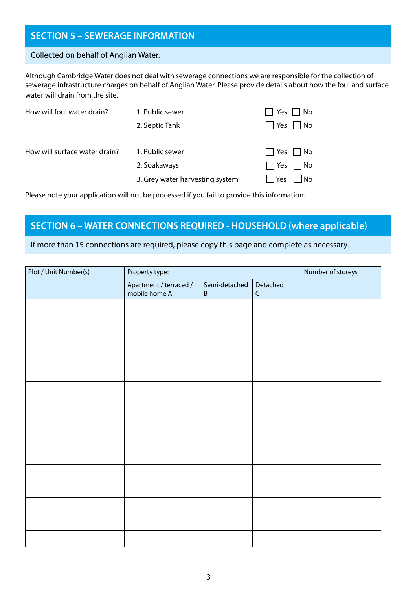#### **SECTION 5 – SEWERAGE INFORMATION**

#### Collected on behalf of Anglian Water.

Although Cambridge Water does not deal with sewerage connections we are responsible for the collection of sewerage infrastructure charges on behalf of Anglian Water. Please provide details about how the foul and surface water will drain from the site.

| How will foul water drain?    | 1. Public sewer                                                    | Yes<br>No                                                                  |
|-------------------------------|--------------------------------------------------------------------|----------------------------------------------------------------------------|
|                               | 2. Septic Tank                                                     | $\Box$ Yes $\Box$ No                                                       |
| How will surface water drain? | 1. Public sewer<br>2. Soakaways<br>3. Grey water harvesting system | $\Box$ Yes $\Box$ No<br>$\Box$ Yes<br>$\Box$ No<br>$\Box$ Yes<br>$\Box$ No |
|                               |                                                                    |                                                                            |

Please note your application will not be processed if you fail to provide this information.

#### **SECTION 6 – WATER CONNECTIONS REQUIRED - HOUSEHOLD (where applicable)**

If more than 15 connections are required, please copy this page and complete as necessary.

| Plot / Unit Number(s) | Property type:                          |                                     |             | Number of storeys |
|-----------------------|-----------------------------------------|-------------------------------------|-------------|-------------------|
|                       | Apartment / terraced /<br>mobile home A | Semi-detached   Detached<br>$\sf B$ | $\mathsf C$ |                   |
|                       |                                         |                                     |             |                   |
|                       |                                         |                                     |             |                   |
|                       |                                         |                                     |             |                   |
|                       |                                         |                                     |             |                   |
|                       |                                         |                                     |             |                   |
|                       |                                         |                                     |             |                   |
|                       |                                         |                                     |             |                   |
|                       |                                         |                                     |             |                   |
|                       |                                         |                                     |             |                   |
|                       |                                         |                                     |             |                   |
|                       |                                         |                                     |             |                   |
|                       |                                         |                                     |             |                   |
|                       |                                         |                                     |             |                   |
|                       |                                         |                                     |             |                   |
|                       |                                         |                                     |             |                   |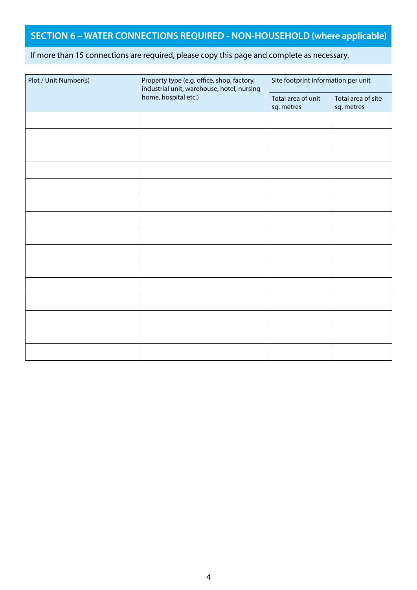## **SECTION 6 – WATER CONNECTIONS REQUIRED - NON-HOUSEHOLD (where applicable)**

#### If more than 15 connections are required, please copy this page and complete as necessary.

| Plot / Unit Number(s) | Property type (e.g. office, shop, factory,<br>industrial unit, warehouse, hotel, nursing<br>home, hospital etc.) | Site footprint information per unit |                                  |  |
|-----------------------|------------------------------------------------------------------------------------------------------------------|-------------------------------------|----------------------------------|--|
|                       |                                                                                                                  | Total area of unit<br>sq. metres    | Total area of site<br>sq. metres |  |
|                       |                                                                                                                  |                                     |                                  |  |
|                       |                                                                                                                  |                                     |                                  |  |
|                       |                                                                                                                  |                                     |                                  |  |
|                       |                                                                                                                  |                                     |                                  |  |
|                       |                                                                                                                  |                                     |                                  |  |
|                       |                                                                                                                  |                                     |                                  |  |
|                       |                                                                                                                  |                                     |                                  |  |
|                       |                                                                                                                  |                                     |                                  |  |
|                       |                                                                                                                  |                                     |                                  |  |
|                       |                                                                                                                  |                                     |                                  |  |
|                       |                                                                                                                  |                                     |                                  |  |
|                       |                                                                                                                  |                                     |                                  |  |
|                       |                                                                                                                  |                                     |                                  |  |
|                       |                                                                                                                  |                                     |                                  |  |
|                       |                                                                                                                  |                                     |                                  |  |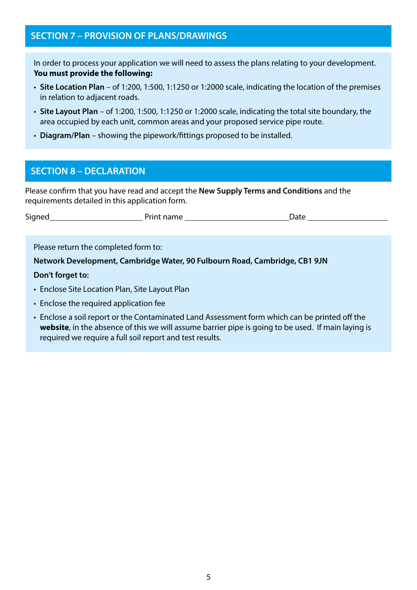#### **SECTION 7 – PROVISION OF PLANS/DRAWINGS**

In order to process your application we will need to assess the plans relating to your development. **You must provide the following:**

- **Site Location Plan** of 1:200, 1:500, 1:1250 or 1:2000 scale, indicating the location of the premises in relation to adjacent roads.
- **Site Layout Plan** of 1:200, 1:500, 1:1250 or 1:2000 scale, indicating the total site boundary, the area occupied by each unit, common areas and your proposed service pipe route.
- **Diagram/Plan** showing the pipework/fittings proposed to be installed.

#### **SECTION 8 – DECLARATION**

Please confirm that you have read and accept the **New Supply Terms and Conditions** and the requirements detailed in this application form.

| $\overline{\phantom{a}}$<br>Signec <sup>'</sup> | ------<br>.<br>. | )ate<br>wull<br>$\sim$ $\sim$ |
|-------------------------------------------------|------------------|-------------------------------|
|                                                 |                  |                               |

Please return the completed form to:

**Network Development, Cambridge Water, 90 Fulbourn Road, Cambridge, CB1 9JN**

#### **Don't forget to:**

- Enclose Site Location Plan, Site Layout Plan
- Enclose the required application fee
- Enclose a soil report or the Contaminated Land Assessment form which can be printed off the **[website](https://www.cambridge-water.co.uk/media/2898/cla-form-cam-may-2020.pdf)**, in the absence of this we will assume barrier pipe is going to be used. If main laying is required we require a full soil report and test results.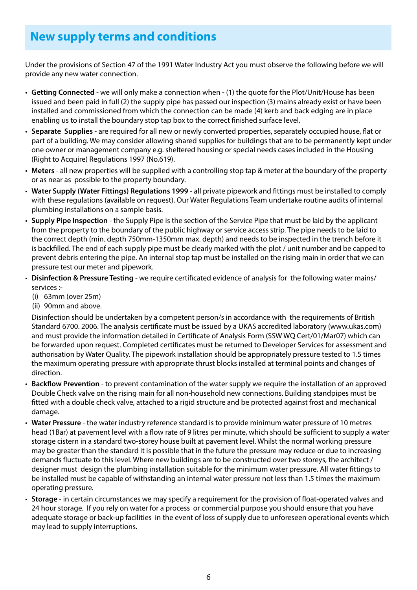# **New supply terms and conditions**

Under the provisions of Section 47 of the 1991 Water Industry Act you must observe the following before we will provide any new water connection.

- **Getting Connected** we will only make a connection when (1) the quote for the Plot/Unit/House has been issued and been paid in full (2) the supply pipe has passed our inspection (3) mains already exist or have been installed and commissioned from which the connection can be made (4) kerb and back edging are in place enabling us to install the boundary stop tap box to the correct finished surface level.
- **Separate Supplies** are required for all new or newly converted properties, separately occupied house, flat or part of a building. We may consider allowing shared supplies for buildings that are to be permanently kept under one owner or management company e.g. sheltered housing or special needs cases included in the Housing (Right to Acquire) Regulations 1997 (No.619).
- **Meters** all new properties will be supplied with a controlling stop tap & meter at the boundary of the property or as near as possible to the property boundary.
- **Water Supply (Water Fittings) Regulations 1999** all private pipework and fittings must be installed to comply with these regulations (available on request). Our Water Regulations Team undertake routine audits of internal plumbing installations on a sample basis.
- **Supply Pipe Inspection** the Supply Pipe is the section of the Service Pipe that must be laid by the applicant from the property to the boundary of the public highway or service access strip. The pipe needs to be laid to the correct depth (min. depth 750mm-1350mm max. depth) and needs to be inspected in the trench before it is backfilled. The end of each supply pipe must be clearly marked with the plot / unit number and be capped to prevent debris entering the pipe. An internal stop tap must be installed on the rising main in order that we can pressure test our meter and pipework.
- **Disinfection & Pressure Testing** we require certificated evidence of analysis for the following water mains/ services :-
	- (i) 63mm (over 25m)
	- (ii) 90mm and above.

Disinfection should be undertaken by a competent person/s in accordance with the requirements of British Standard 6700. 2006. The analysis certificate must be issued by a UKAS accredited laboratory (www.ukas.com) and must provide the information detailed in Certificate of Analysis Form (SSW WQ Cert/01/Mar07) which can be forwarded upon request. Completed certificates must be returned to Developer Services for assessment and authorisation by Water Quality. The pipework installation should be appropriately pressure tested to 1.5 times the maximum operating pressure with appropriate thrust blocks installed at terminal points and changes of direction.

- **Backflow Prevention** to prevent contamination of the water supply we require the installation of an approved Double Check valve on the rising main for all non-household new connections. Building standpipes must be fitted with a double check valve, attached to a rigid structure and be protected against frost and mechanical damage.
- **Water Pressure** the water industry reference standard is to provide minimum water pressure of 10 metres head (1Bar) at pavement level with a flow rate of 9 litres per minute, which should be sufficient to supply a water storage cistern in a standard two-storey house built at pavement level. Whilst the normal working pressure may be greater than the standard it is possible that in the future the pressure may reduce or due to increasing demands fluctuate to this level. Where new buildings are to be constructed over two storeys, the architect / designer must design the plumbing installation suitable for the minimum water pressure. All water fittings to be installed must be capable of withstanding an internal water pressure not less than 1.5 times the maximum operating pressure.
- **Storage** in certain circumstances we may specify a requirement for the provision of float-operated valves and 24 hour storage. If you rely on water for a process or commercial purpose you should ensure that you have adequate storage or back-up facilities in the event of loss of supply due to unforeseen operational events which may lead to supply interruptions.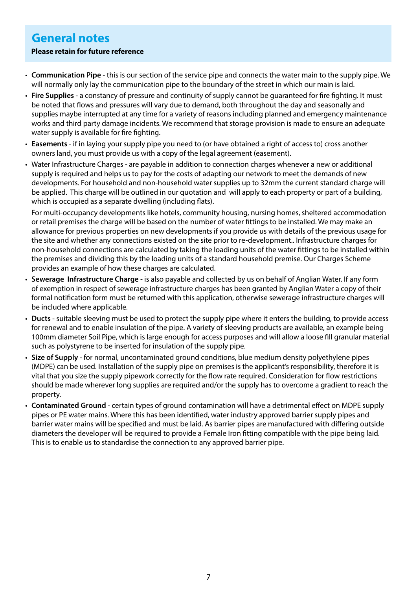# **General notes**

#### **Please retain for future reference**

- **Communication Pipe** this is our section of the service pipe and connects the water main to the supply pipe. We will normally only lay the communication pipe to the boundary of the street in which our main is laid.
- **Fire Supplies** a constancy of pressure and continuity of supply cannot be guaranteed for fire fighting. It must be noted that flows and pressures will vary due to demand, both throughout the day and seasonally and supplies maybe interrupted at any time for a variety of reasons including planned and emergency maintenance works and third party damage incidents. We recommend that storage provision is made to ensure an adequate water supply is available for fire fighting.
- **Easements** if in laying your supply pipe you need to (or have obtained a right of access to) cross another owners land, you must provide us with a copy of the legal agreement (easement).
- Water Infrastructure Charges are payable in addition to connection charges whenever a new or additional supply is required and helps us to pay for the costs of adapting our network to meet the demands of new developments. For household and non-household water supplies up to 32mm the current standard charge will be applied. This charge will be outlined in our quotation and will apply to each property or part of a building, which is occupied as a separate dwelling (including flats).

For multi-occupancy developments like hotels, community housing, nursing homes, sheltered accommodation or retail premises the charge will be based on the number of water fittings to be installed. We may make an allowance for previous properties on new developments if you provide us with details of the previous usage for the site and whether any connections existed on the site prior to re-development.. Infrastructure charges for non-household connections are calculated by taking the loading units of the water fittings to be installed within the premises and dividing this by the loading units of a standard household premise. Our Charges Scheme provides an example of how these charges are calculated.

- **Sewerage Infrastructure Charge** is also payable and collected by us on behalf of Anglian Water. If any form of exemption in respect of sewerage infrastructure charges has been granted by Anglian Water a copy of their formal notification form must be returned with this application, otherwise sewerage infrastructure charges will be included where applicable.
- **Ducts** suitable sleeving must be used to protect the supply pipe where it enters the building, to provide access for renewal and to enable insulation of the pipe. A variety of sleeving products are available, an example being 100mm diameter Soil Pipe, which is large enough for access purposes and will allow a loose fill granular material such as polystyrene to be inserted for insulation of the supply pipe.
- **Size of Supply** for normal, uncontaminated ground conditions, blue medium density polyethylene pipes (MDPE) can be used. Installation of the supply pipe on premises is the applicant's responsibility, therefore it is vital that you size the supply pipework correctly for the flow rate required. Consideration for flow restrictions should be made wherever long supplies are required and/or the supply has to overcome a gradient to reach the property.
- **Contaminated Ground**  certain types of ground contamination will have a detrimental effect on MDPE supply pipes or PE water mains. Where this has been identified, water industry approved barrier supply pipes and barrier water mains will be specified and must be laid. As barrier pipes are manufactured with differing outside diameters the developer will be required to provide a Female Iron fitting compatible with the pipe being laid. This is to enable us to standardise the connection to any approved barrier pipe.